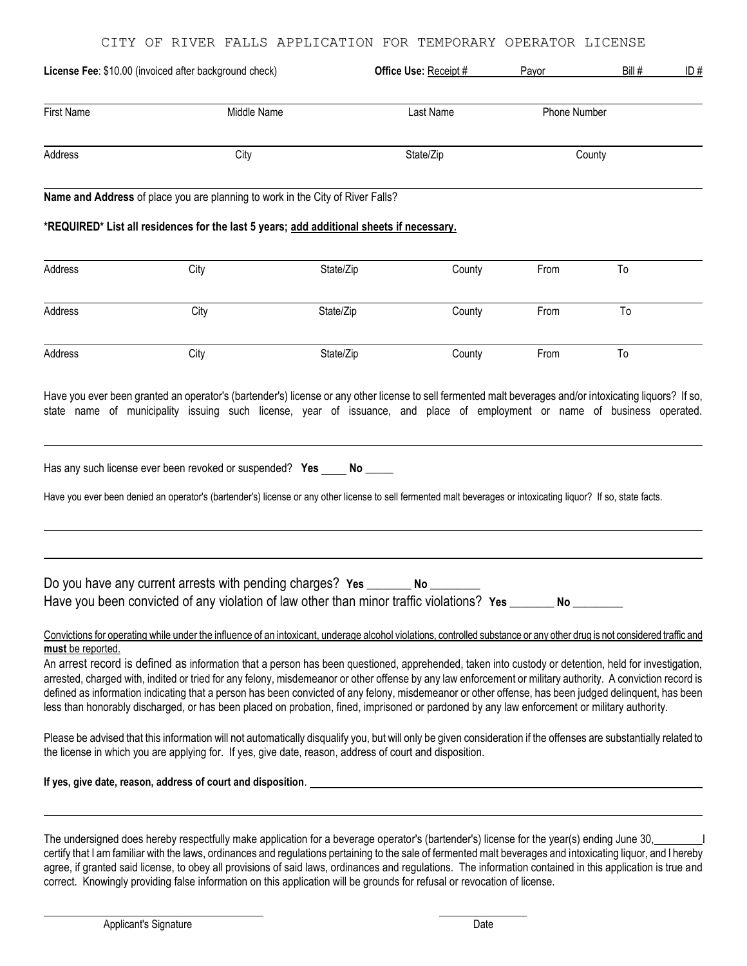|                   | License Fee: \$10.00 (invoiced after background check)                                                                                                                                                                                                                                                                                                                                                                                                                                                                                                                                                                    |           | Office Use: Receipt # | Payor        | Bill # | ID# |
|-------------------|---------------------------------------------------------------------------------------------------------------------------------------------------------------------------------------------------------------------------------------------------------------------------------------------------------------------------------------------------------------------------------------------------------------------------------------------------------------------------------------------------------------------------------------------------------------------------------------------------------------------------|-----------|-----------------------|--------------|--------|-----|
| <b>First Name</b> | Middle Name                                                                                                                                                                                                                                                                                                                                                                                                                                                                                                                                                                                                               |           | Last Name             | Phone Number |        |     |
| Address           | City                                                                                                                                                                                                                                                                                                                                                                                                                                                                                                                                                                                                                      |           | State/Zip             | County       |        |     |
|                   | Name and Address of place you are planning to work in the City of River Falls?                                                                                                                                                                                                                                                                                                                                                                                                                                                                                                                                            |           |                       |              |        |     |
|                   | *REQUIRED* List all residences for the last 5 years; add additional sheets if necessary.                                                                                                                                                                                                                                                                                                                                                                                                                                                                                                                                  |           |                       |              |        |     |
| Address           | City                                                                                                                                                                                                                                                                                                                                                                                                                                                                                                                                                                                                                      | State/Zip | County                | From         | To     |     |
| Address           | City                                                                                                                                                                                                                                                                                                                                                                                                                                                                                                                                                                                                                      | State/Zip | County                | From         | To     |     |
| Address           | City                                                                                                                                                                                                                                                                                                                                                                                                                                                                                                                                                                                                                      | State/Zip | County                | From         | To     |     |
|                   | Has any such license ever been revoked or suspended? Yes _____ No _____<br>Have you ever been denied an operator's (bartender's) license or any other license to sell fermented malt beverages or intoxicating liquor? If so, state facts.                                                                                                                                                                                                                                                                                                                                                                                |           |                       |              |        |     |
|                   | Do you have any current arrests with pending charges? Yes ________ No _____<br>Have you been convicted of any violation of law other than minor traffic violations? Yes ______ No _____                                                                                                                                                                                                                                                                                                                                                                                                                                   |           |                       |              |        |     |
|                   | Convictions for operating while under the influence of an intoxicant, underage alcohol violations, controlled substance or any other drug is not considered traffic and                                                                                                                                                                                                                                                                                                                                                                                                                                                   |           |                       |              |        |     |
| must be reported. | An arrest record is defined as information that a person has been questioned, apprehended, taken into custody or detention, held for investigation,<br>arrested, charged with, indited or tried for any felony, misdemeanor or other offense by any law enforcement or military authority. A conviction record is<br>defined as information indicating that a person has been convicted of any felony, misdemeanor or other offense, has been judged delinquent, has been<br>less than honorably discharged, or has been placed on probation, fined, imprisoned or pardoned by any law enforcement or military authority. |           |                       |              |        |     |
|                   | Please be advised that this information will not automatically disqualify you, but will only be given consideration if the offenses are substantially related to<br>the license in which you are applying for. If yes, give date, reason, address of court and disposition.                                                                                                                                                                                                                                                                                                                                               |           |                       |              |        |     |
|                   | If yes, give date, reason, address of court and disposition.                                                                                                                                                                                                                                                                                                                                                                                                                                                                                                                                                              |           |                       |              |        |     |

The undersigned does hereby respectfully make application for a beverage operator's (bartender's) license for the year(s) ending June 30, certify that I am familiar with the laws, ordinances and regulations pertaining to the sale of fermented malt beverages and intoxicating liquor, and I hereby agree, if granted said license, to obey all provisions of said laws, ordinances and regulations. The information contained in this application is true and correct. Knowingly providing false information on this application will be grounds for refusal or revocation of license.

l